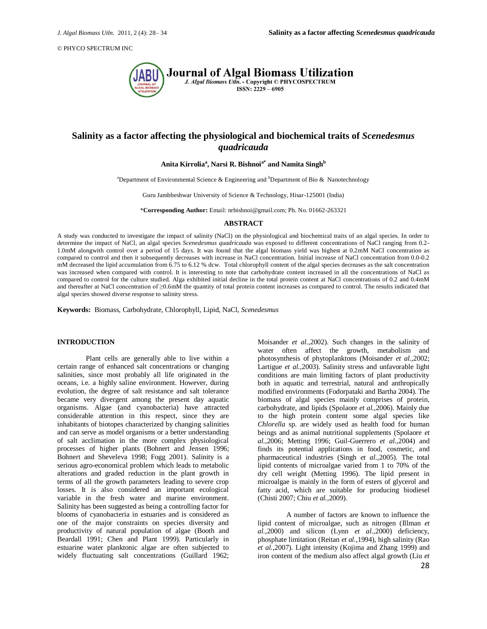

# **Salinity as a factor affecting the physiological and biochemical traits of** *Scenedesmus quadricauda*

# **Anita Kirrolia<sup>a</sup> , Narsi R. Bishnoia\* and Namita Singh<sup>b</sup>**

<sup>a</sup>Department of Environmental Science & Engineering and <sup>b</sup>Department of Bio & Nanotechnology

Guru Jambheshwar University of Science & Technology, Hisar-125001 (India)

\***Corresponding Author:** Email: nrbishnoi@gmail.com; Ph. No. 01662-263321

### **ABSTRACT**

A study was conducted to investigate the impact of salinity (NaCl) on the physiological and biochemical traits of an algal species*.* In order to determine the impact of NaCl, an algal species *Scenedesmus quadricauda* was exposed to different concentrations of NaCl ranging from 0.2- 1.0mM alongwith control over a period of 15 days. It was found that the algal biomass yield was highest at 0.2mM NaCl concentration as compared to control and then it subsequently decreases with increase in NaCl concentration. Initial increase of NaCl concentration from 0.0-0.2 mM decreased the lipid accumulation from 6.75 to 6.12 % dcw. Total chlorophyll content of the algal species decreases as the salt concentration was increased when compared with control. It is interesting to note that carbohydrate content increased in all the concentrations of NaCl as compared to control for the culture studied. Alga exhibited initial decline in the total protein content at NaCl concentrations of 0.2 and 0.4mM and thereafter at NaCl concentration of ≥0.6mM the quantity of total protein content increases as compared to control. The results indicated that algal species showed diverse response to salinity stress.

**Keywords:** Biomass, Carbohydrate, Chlorophyll, Lipid, NaCl, *Scenedesmus*

### **INTRODUCTION**

Plant cells are generally able to live within a certain range of enhanced salt concentrations or changing salinities, since most probably all life originated in the oceans, i.e. a highly saline environment. However, during evolution, the degree of salt resistance and salt tolerance became very divergent among the present day aquatic organisms. Algae (and cyanobacteria) have attracted considerable attention in this respect, since they are inhabitants of biotopes characterized by changing salinities and can serve as model organisms or a better understanding of salt acclimation in the more complex physiological processes of higher plants (Bohnert and Jensen 1996; Bohnert and Sheveleva 1998; Fogg 2001). Salinity is a serious agro-economical problem which leads to metabolic alterations and graded reduction in the plant growth in terms of all the growth parameters leading to severe crop losses. It is also considered an important ecological variable in the fresh water and marine environment. Salinity has been suggested as being a controlling factor for blooms of cyanobacteria in estuaries and is considered as one of the major constraints on species diversity and productivity of natural population of algae (Booth and Beardall 1991; Chen and Plant 1999). Particularly in estuarine water planktonic algae are often subjected to widely fluctuating salt concentrations (Guillard 1962;

Moisander *et al.,*2002). Such changes in the salinity of water often affect the growth, metabolism and photosynthesis of phytoplanktons (Moisander *et al.,*2002; Lartigue *et al.,*2003). Salinity stress and unfavorable light conditions are main limiting factors of plant productivity both in aquatic and terrestrial, natural and anthropically modified environments (Fodorpataki and Bartha 2004). The biomass of algal species mainly comprises of protein, carbohydrate, and lipids (Spolaore *et al.,*2006). Mainly due to the high protein content some algal species like *Chlorella* sp. are widely used as health food for human beings and as animal nutritional supplements (Spolaore *et al.,*2006; Metting 1996; Guil-Guerrero *et al.,*2004) and finds its potential applications in food, cosmetic, and pharmaceutical industries (Singh *et al.,*2005). The total lipid contents of microalgae varied from 1 to 70% of the dry cell weight (Metting 1996). The lipid present in microalgae is mainly in the form of esters of glycerol and fatty acid, which are suitable for producing biodiesel (Chisti 2007; Chiu *et al.,*2009).

A number of factors are known to influence the lipid content of microalgae, such as nitrogen (Illman *et al.,*2000) and silicon (Lynn *et al.,*2000) deficiency, phosphate limitation (Reitan *et al.,*1994), high salinity (Rao *et al.,*2007). Light intensity (Kojima and Zhang 1999) and iron content of the medium also affect algal growth (Liu *et*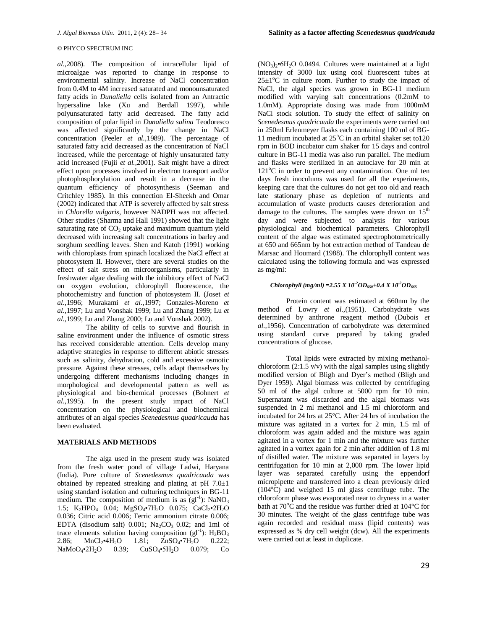*al.,*2008). The composition of intracellular lipid of microalgae was reported to change in response to environmental salinity. Increase of NaCl concentration from 0.4M to 4M increased saturated and monounsaturated fatty acids in *Dunaliella* cells isolated from an Antractic hypersaline lake (Xu and Berdall 1997), while polyunsaturated fatty acid decreased. The fatty acid composition of polar lipid in *Dunaliella salina* Teodoresco was affected significantly by the change in NaCl concentration (Peeler *et al.,*1989). The percentage of saturated fatty acid decreased as the concentration of NaCl increased, while the percentage of highly unsaturated fatty acid increased (Fujii *et al.,*2001). Salt might have a direct effect upon processes involved in electron transport and/or photophosphorylation and result in a decrease in the quantum efficiency of photosynthesis (Seeman and Critchley 1985). In this connection El-Sheekh and Omar (2002) indicated that ATP is severely affected by salt stress in *Chlorella vulgaris*, however NADPH was not affected. Other studies (Sharma and Hall 1991) showed that the light saturating rate of  $CO<sub>2</sub>$  uptake and maximum quantum yield decreased with increasing salt concentrations in barley and sorghum seedling leaves. Shen and Katoh (1991) working with chloroplasts from spinach localized the NaCl effect at photosystem II. However, there are several studies on the effect of salt stress on microorganisms, particularly in freshwater algae dealing with the inhibitory effect of NaCl on oxygen evolution, chlorophyll fluorescence, the photochemistry and function of photosystem II. (Joset *et al.,*1996; Murakami *et al.,*1997; Gonzales-Moreno *et al.,*1997; Lu and Vonshak 1999; Lu and Zhang 1999; Lu *et al.,*1999; Lu and Zhang 2000; Lu and Vonshak 2002).

The ability of cells to survive and flourish in saline environment under the influence of osmotic stress has received considerable attention. Cells develop many adaptive strategies in response to different abiotic stresses such as salinity, dehydration, cold and excessive osmotic pressure. Against these stresses, cells adapt themselves by undergoing different mechanisms including changes in morphological and developmental pattern as well as physiological and bio-chemical processes (Bohnert *et al.,*1995). In the present study impact of NaCl concentration on the physiological and biochemical attributes of an algal species *Scenedesmus quadricauda* has been evaluated.

### **MATERIALS AND METHODS**

The alga used in the present study was isolated from the fresh water pond of village Ladwi, Haryana (India). Pure culture of *Scenedesmus quadricauda* was obtained by repeated streaking and plating at pH 7.0±1 using standard isolation and culturing techniques in BG-11 medium. The composition of medium is as  $(gI^{-1})$ : NaNO<sub>3</sub> 1.5; K<sub>2</sub>HPO<sub>4</sub> 0.04; MgSO<sub>4</sub>•7H<sub>2</sub>O 0.075; CaCl<sub>2</sub>•2H<sub>2</sub>O 0.036; Citric acid 0.006; Ferric ammonium citrate 0.006; EDTA (disodium salt)  $0.001$ ; Na<sub>2</sub>CO<sub>3</sub> 0.02; and 1ml of trace elements solution having composition ( $gl^{-1}$ ):  $H_3BO_3$ 2.86;  $MnCl<sub>2</sub>•4H<sub>2</sub>O$  1.81;  $ZnSO<sub>4</sub>•7H<sub>2</sub>O$  0.222; NaMoO<sub>4</sub>•2H<sub>2</sub>O 0.39; CuSO<sub>4</sub>•5H<sub>2</sub>O 0.079; Co

 $(NO<sub>3</sub>)<sub>2</sub>•6H<sub>2</sub>O$  0.0494. Cultures were maintained at a light intensity of 3000 lux using cool fluorescent tubes at  $25\pm1\degree$ C in culture room. Further to study the impact of NaCl, the algal species was grown in BG-11 medium modified with varying salt concentrations (0.2mM to 1.0mM). Appropriate dosing was made from 1000mM NaCl stock solution. To study the effect of salinity on *Scenedesmus quadricauda* the experiments were carried out in 250ml Erlenmeyer flasks each containing 100 ml of BG-11 medium incubated at  $25^{\circ}$ C in an orbital shaker set to120 rpm in BOD incubator cum shaker for 15 days and control culture in BG-11 media was also run parallel. The medium and flasks were sterilized in an autoclave for 20 min at  $121^{\circ}$ C in order to prevent any contamination. One ml ten days fresh inoculums was used for all the experiments, keeping care that the cultures do not get too old and reach late stationary phase as depletion of nutrients and accumulation of waste products causes deterioration and damage to the cultures. The samples were drawn on  $15<sup>th</sup>$ day and were subjected to analysis for various physiological and biochemical parameters. Chlorophyll content of the algae was estimated spectrophotometrically at 650 and 665nm by hot extraction method of Tandeau de Marsac and Houmard (1988). The chlorophyll content was calculated using the following formula and was expressed as mg/ml:

### *Chlorophyll* (*mg/ml*) =2.55 *X*  $10^{-2}$ *OD*<sub>650</sub>+0.4 *X*  $10^{-2}$ *OD*<sub>665</sub>

Protein content was estimated at 660nm by the method of Lowry *et al.,*(1951). Carbohydrate was determined by anthrone reagent method (Dubois *et al.,*1956). Concentration of carbohydrate was determined using standard curve prepared by taking graded concentrations of glucose.

Total lipids were extracted by mixing methanolchloroform  $(2:1.5 \text{ v/v})$  with the algal samples using slightly modified version of Bligh and Dyer's method (Bligh and Dyer 1959). Algal biomass was collected by centrifuging 50 ml of the algal culture at 5000 rpm for 10 min. Supernatant was discarded and the algal biomass was suspended in 2 ml methanol and 1.5 ml chloroform and incubated for 24 hrs at 25°C. After 24 hrs of incubation the mixture was agitated in a vortex for 2 min, 1.5 ml of chloroform was again added and the mixture was again agitated in a vortex for 1 min and the mixture was further agitated in a vortex again for 2 min after addition of 1.8 ml of distilled water. The mixture was separated in layers by centrifugation for 10 min at 2,000 rpm. The lower lipid layer was separated carefully using the eppendorf micropipette and transferred into a clean previously dried  $(104\degree C)$  and weighed 15 ml glass centrifuge tube. The chloroform phase was evaporated near to dryness in a water bath at  $70^{\circ}$ C and the residue was further dried at  $104^{\circ}$ C for 30 minutes. The weight of the glass centrifuge tube was again recorded and residual mass (lipid contents) was expressed as % dry cell weight (dcw). All the experiments were carried out at least in duplicate.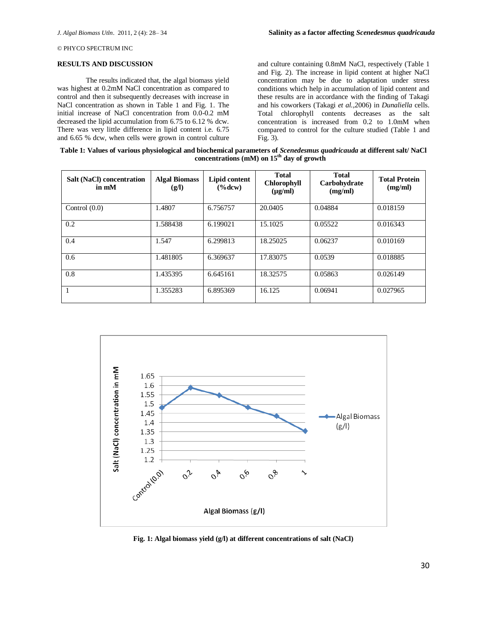## **RESULTS AND DISCUSSION**

The results indicated that, the algal biomass yield was highest at 0.2mM NaCl concentration as compared to control and then it subsequently decreases with increase in NaCl concentration as shown in Table 1 and Fig. 1. The initial increase of NaCl concentration from 0.0-0.2 mM decreased the lipid accumulation from 6.75 to 6.12 % dcw. There was very little difference in lipid content i.e. 6.75 and 6.65 % dcw, when cells were grown in control culture

and culture containing 0.8mM NaCl, respectively (Table 1 and Fig. 2). The increase in lipid content at higher NaCl concentration may be due to adaptation under stress conditions which help in accumulation of lipid content and these results are in accordance with the finding of Takagi and his coworkers (Takagi *et al.,*2006) in *Dunaliella* cells. Total chlorophyll contents decreases as the salt concentration is increased from 0.2 to 1.0mM when compared to control for the culture studied (Table 1 and Fig. 3).

**Table 1: Values of various physiological and biochemical parameters of** *Scenedesmus quadricauda* **at different salt/ NaCl concentrations (mM) on 15th day of growth**

| <b>Salt (NaCl) concentration</b><br>in mM | <b>Algal Biomass</b><br>(g/l) | Lipid content<br>$(\%dev)$ | <b>Total</b><br><b>Chlorophyll</b><br>$(\mu g/ml)$ | <b>Total</b><br>Carbohydrate<br>(mg/ml) | <b>Total Protein</b><br>(mg/ml) |
|-------------------------------------------|-------------------------------|----------------------------|----------------------------------------------------|-----------------------------------------|---------------------------------|
| Control $(0.0)$                           | 1.4807                        | 6.756757                   | 20.0405                                            | 0.04884                                 | 0.018159                        |
| 0.2                                       | 1.588438                      | 6.199021                   | 15.1025                                            | 0.05522                                 | 0.016343                        |
| 0.4                                       | 1.547                         | 6.299813                   | 18.25025                                           | 0.06237                                 | 0.010169                        |
| 0.6                                       | 1.481805                      | 6.369637                   | 17.83075                                           | 0.0539                                  | 0.018885                        |
| 0.8                                       | 1.435395                      | 6.645161                   | 18.32575                                           | 0.05863                                 | 0.026149                        |
| $\overline{1}$                            | 1.355283                      | 6.895369                   | 16.125                                             | 0.06941                                 | 0.027965                        |



**Fig. 1: Algal biomass yield (g/l) at different concentrations of salt (NaCl)**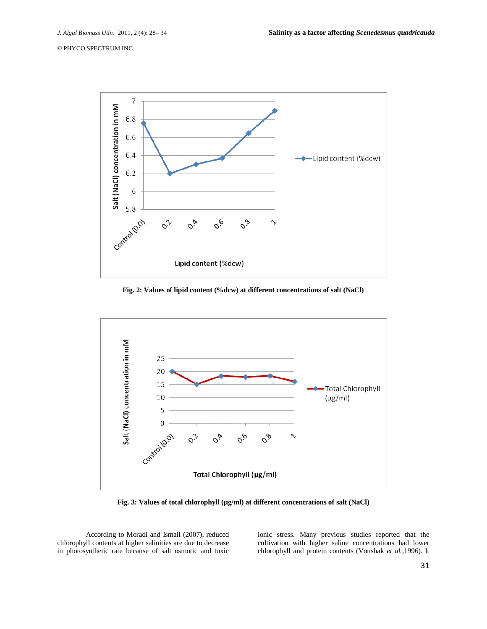

**Fig. 2: Values of lipid content (%dcw) at different concentrations of salt (NaCl)**



**Fig. 3: Values of total chlorophyll (µg/ml) at different concentrations of salt (NaCl)**

According to Moradi and Ismail (2007), reduced chlorophyll contents at higher salinities are due to decrease in photosynthetic rate because of salt osmotic and toxic ionic stress. Many previous studies reported that the cultivation with higher saline concentrations had lower chlorophyll and protein contents (Vonshak *et al.,*1996). It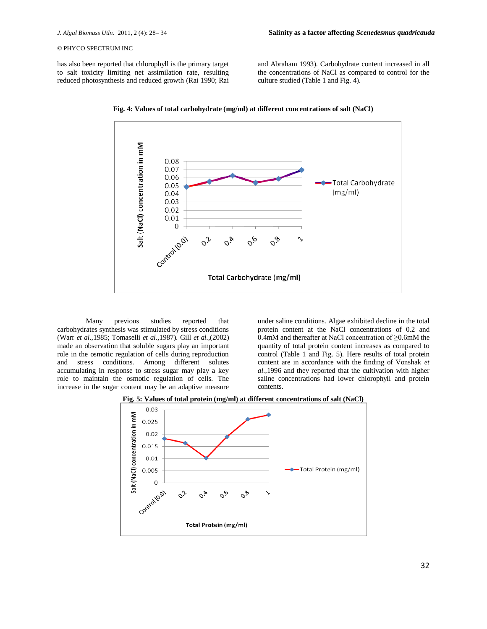has also been reported that chlorophyll is the primary target to salt toxicity limiting net assimilation rate, resulting reduced photosynthesis and reduced growth (Rai 1990; Rai and Abraham 1993). Carbohydrate content increased in all the concentrations of NaCl as compared to control for the culture studied (Table 1 and Fig. 4).





Many previous studies reported that carbohydrates synthesis was stimulated by stress conditions (Warr *et al.,*1985; Tomaselli *et al.,*1987). Gill *et al.,*(2002) made an observation that soluble sugars play an important role in the osmotic regulation of cells during reproduction and stress conditions. Among different solutes accumulating in response to stress sugar may play a key role to maintain the osmotic regulation of cells. The increase in the sugar content may be an adaptive measure

under saline conditions. Algae exhibited decline in the total protein content at the NaCl concentrations of 0.2 and 0.4mM and thereafter at NaCl concentration of ≥0.6mM the quantity of total protein content increases as compared to control (Table 1 and Fig. 5). Here results of total protein content are in accordance with the finding of Vonshak *et al.,*1996 and they reported that the cultivation with higher saline concentrations had lower chlorophyll and protein contents.



**Fig. 5: Values of total protein (mg/ml) at different concentrations of salt (NaCl)**

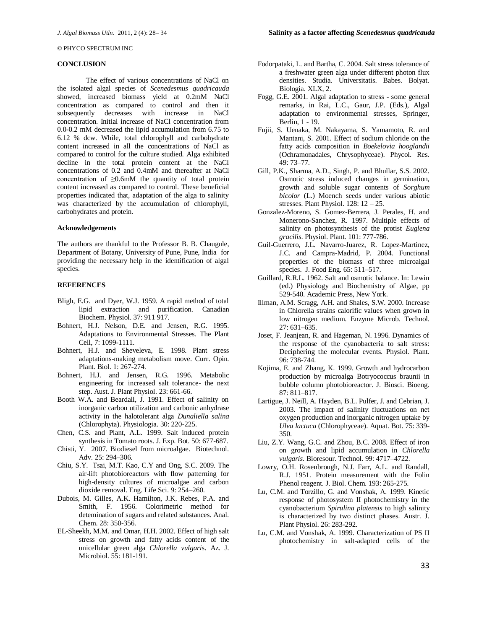## **CONCLUSION**

The effect of various concentrations of NaCl on the isolated algal species of *Scenedesmus quadricauda* showed, increased biomass yield at 0.2mM NaCl concentration as compared to control and then it subsequently decreases with increase in NaCl concentration. Initial increase of NaCl concentration from 0.0-0.2 mM decreased the lipid accumulation from 6.75 to 6.12 % dcw. While, total chlorophyll and carbohydrate content increased in all the concentrations of NaCl as compared to control for the culture studied. Alga exhibited decline in the total protein content at the NaCl concentrations of 0.2 and 0.4mM and thereafter at NaCl concentration of ≥0.6mM the quantity of total protein content increased as compared to control. These beneficial properties indicated that, adaptation of the alga to salinity was characterized by the accumulation of chlorophyll, carbohydrates and protein.

#### **Acknowledgements**

The authors are thankful to the Professor B. B. Chaugule, Department of Botany, University of Pune, Pune, India for providing the necessary help in the identification of algal species.

## **REFERENCES**

- Bligh, E.G. and Dyer, W.J. 1959. A rapid method of total lipid extraction and purification. Canadian Biochem. Physiol. 37: 911 917.
- Bohnert, H.J. Nelson, D.E. and Jensen, R.G. 1995. Adaptations to Environmental Stresses. The Plant Cell, 7: 1099-1111.
- Bohnert, H.J. and Sheveleva, E. 1998. Plant stress adaptations-making metabolism move. Curr. Opin. Plant. Biol. 1: 267-274.
- Bohnert, H.J. and Jensen, R.G. 1996. Metabolic engineering for increased salt tolerance- the next step. Aust. J. Plant Physiol. 23: 661-66.
- Booth W.A. and Beardall, J. 1991. Effect of salinity on inorganic carbon utilization and carbonic anhydrase activity in the halotolerant alga *Dunaliella salina*  (Chlorophyta). Physiologia. 30: 220-225.
- Chen, C.S. and Plant, A.L. 1999. Salt induced protein synthesis in Tomato roots. J. Exp. Bot. 50: 677-687.
- Chisti, Y. 2007. Biodiesel from microalgae. Biotechnol. Adv. 25: 294–306.
- Chiu, S.Y. Tsai, M.T. Kao, C.Y and Ong, S.C. 2009. The air-lift photobioreactors with flow patterning for high-density cultures of microalgae and carbon dioxide removal. Eng. Life Sci. 9: 254–260.
- Dubois, M. Gilles, A.K. Hamilton, J.K. Rebes, P.A. and Smith, F. 1956. Colorimetric method for detemination of sugars and related substances. Anal. Chem. 28: 350-356.
- EL-Sheekh, M.M. and Omar, H.H. 2002. Effect of high salt stress on growth and fatty acids content of the unicellular green alga *Chlorella vulgari*s. Az. J. Microbiol. 55: 181-191.
- Fodorpataki, L. and Bartha, C. 2004. Salt stress tolerance of a freshwater green alga under different photon flux densities. Studia. Universitatis. Babes. Bolyat. Biologia. XLX, 2.
- Fogg, G.E. 2001. Algal adaptation to stress some general remarks, in Rai, L.C., Gaur, J.P. (Eds.), Algal adaptation to environmental stresses, Springer, Berlin, 1 - 19.
- Fujii, S. Uenaka, M. Nakayama, S. Yamamoto, R. and Mantani, S. 2001. Effect of sodium chloride on the fatty acids composition in *Boekelovia hooglandii* (Ochramonadales, Chrysophyceae). Phycol. Res. 49: 73–77.
- Gill, P.K., Sharma, A.D., Singh, P. and Bhullar, S.S. 2002. Osmotic stress induced changes in germination, growth and soluble sugar contents of *Sorghum bicolor* (L.) Moench seeds under various abiotic stresses. Plant Physiol. 128: 12 – 25.
- Gonzalez-Moreno, S. Gomez-Berrera, J. Perales, H. and Monerono-Sanchez, R. 1997. Multiple effects of salinity on photosynthesis of the protist *Euglena gracilis*. Physiol. Plant. 101: 777-786.
- Guil-Guerrero, J.L. Navarro-Juarez, R. Lopez-Martinez, J.C. and Campra-Madrid, P. 2004. Functional properties of the biomass of three microalgal species. J. Food Eng. 65: 511–517.
- Guillard, R.R.L. 1962. Salt and osmotic balance. In: Lewin (ed.) Physiology and Biochemistry of Algae, pp 529-540. Academic Press, New York.
- Illman, A.M. Scragg, A.H. and Shales, S.W. 2000. Increase in Chlorella strains calorific values when grown in low nitrogen medium. Enzyme Microb. Technol. 27: 631–635.
- Joset, F. Jeanjean, R. and Hageman, N. 1996. Dynamics of the response of the cyanobacteria to salt stress: Deciphering the molecular events. Physiol. Plant. 96: 738-744.
- Kojima, E. and Zhang, K. 1999. Growth and hydrocarbon production by microalga Botryococcus braunii in bubble column photobioreactor. J. Biosci. Bioeng. 87: 811–817.
- Lartigue, J. Neill, A. Hayden, B.L. Pulfer, J. and Cebrian, J. 2003. The impact of salinity fluctuations on net oxygen production and inorganic nitrogen uptake by *Ulva lactuca* (Chlorophyceae). Aquat. Bot. 75: 339- 350.
- Liu, Z.Y. Wang, G.C. and Zhou, B.C. 2008. Effect of iron on growth and lipid accumulation in *Chlorella vulgaris*. Bioresour. Technol. 99: 4717–4722.
- Lowry, O.H. Rosenbrough, N.J. Farr, A.L. and Randall, R.J. 1951. Protein measurement with the Folin Phenol reagent. J. Biol. Chem. 193: 265-275.
- Lu, C.M. and Torzillo, G. and Vonshak, A. 1999. Kinetic response of photosystem II photochemistry in the cyanobacterium *Spirulina platensis* to high salinity is characterized by two distinct phases. Austr. J. Plant Physiol. 26: 283-292.
- Lu, C.M. and Vonshak, A. 1999. Characterization of PS II photochemistry in salt-adapted cells of the